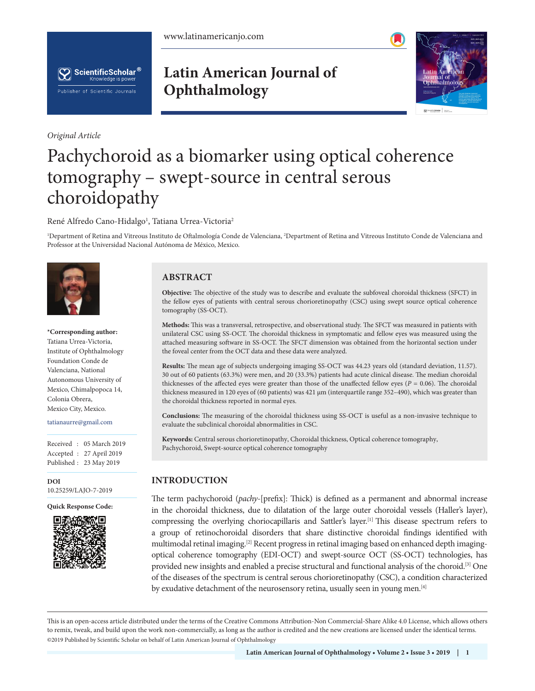



*Original Article*

# **Latin American Journal of Ophthalmology**



# Pachychoroid as a biomarker using optical coherence tomography – swept-source in central serous choroidopathy

René Alfredo Cano-Hidalgo<sup>1</sup>, Tatiana Urrea-Victoria<sup>2</sup>

<sup>1</sup>Department of Retina and Vitreous Instituto de Oftalmología Conde de Valenciana, <sup>2</sup>Department of Retina and Vitreous Instituto Conde de Valenciana and Professor at the Universidad Nacional Autónoma de México, Mexico.



**\*Corresponding author:** Tatiana Urrea-Victoria, Institute of Ophthalmology Foundation Conde de Valenciana, National Autonomous University of Mexico, Chimalpopoca 14, Colonia Obrera, Mexico City, Mexico.

#### tatianaurre@gmail.com

Received : 05 March 2019 Accepted : 27 April 2019 Published : 23 May 2019

**DOI** 10.25259/LAJO-7-2019

**Quick Response Code:**



# **ABSTRACT**

**Objective:** The objective of the study was to describe and evaluate the subfoveal choroidal thickness (SFCT) in the fellow eyes of patients with central serous chorioretinopathy (CSC) using swept source optical coherence tomography (SS-OCT).

**Methods:** This was a transversal, retrospective, and observational study. The SFCT was measured in patients with unilateral CSC using SS-OCT. The choroidal thickness in symptomatic and fellow eyes was measured using the attached measuring software in SS-OCT. The SFCT dimension was obtained from the horizontal section under the foveal center from the OCT data and these data were analyzed.

**Results:** The mean age of subjects undergoing imaging SS-OCT was 44.23 years old (standard deviation, 11.57). 30 out of 60 patients (63.3%) were men, and 20 (33.3%) patients had acute clinical disease. The median choroidal thicknesses of the affected eyes were greater than those of the unaffected fellow eyes (*P* = 0.06). The choroidal thickness measured in 120 eyes of (60 patients) was 421 µm (interquartile range 352–490), which was greater than the choroidal thickness reported in normal eyes.

**Conclusions:** The measuring of the choroidal thickness using SS-OCT is useful as a non-invasive technique to evaluate the subclinical choroidal abnormalities in CSC.

**Keywords:** Central serous chorioretinopathy, Choroidal thickness, Optical coherence tomography, Pachychoroid, Swept-source optical coherence tomography

# **INTRODUCTION**

The term pachychoroid (*pachy*-[prefix]: Thick) is defined as a permanent and abnormal increase in the choroidal thickness, due to dilatation of the large outer choroidal vessels (Haller's layer), compressing the overlying choriocapillaris and Sattler's layer.[1] This disease spectrum refers to a group of retinochoroidal disorders that share distinctive choroidal findings identified with multimodal retinal imaging.[2] Recent progress in retinal imaging based on enhanced depth imagingoptical coherence tomography (EDI-OCT) and swept-source OCT (SS-OCT) technologies, has provided new insights and enabled a precise structural and functional analysis of the choroid.[3] One of the diseases of the spectrum is central serous chorioretinopathy (CSC), a condition characterized by exudative detachment of the neurosensory retina, usually seen in young men.<sup>[4]</sup>

is is an open-access article distributed under the terms of the Creative Commons Attribution-Non Commercial-Share Alike 4.0 License, which allows others to remix, tweak, and build upon the work non-commercially, as long as the author is credited and the new creations are licensed under the identical terms. ©2019 Published by Scientific Scholar on behalf of Latin American Journal of Ophthalmology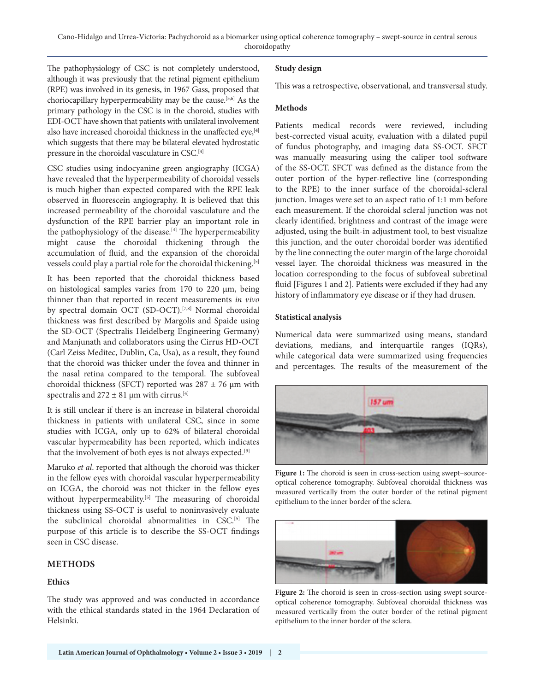The pathophysiology of CSC is not completely understood, although it was previously that the retinal pigment epithelium (RPE) was involved in its genesis, in 1967 Gass, proposed that choriocapillary hyperpermeability may be the cause.[5,6] As the primary pathology in the CSC is in the choroid, studies with EDI-OCT have shown that patients with unilateral involvement also have increased choroidal thickness in the unaffected eye,<sup>[4]</sup> which suggests that there may be bilateral elevated hydrostatic pressure in the choroidal vasculature in CSC.[4]

CSC studies using indocyanine green angiography (ICGA) have revealed that the hyperpermeability of choroidal vessels is much higher than expected compared with the RPE leak observed in fluorescein angiography. It is believed that this increased permeability of the choroidal vasculature and the dysfunction of the RPE barrier play an important role in the pathophysiology of the disease.<sup>[4]</sup> The hyperpermeability might cause the choroidal thickening through the accumulation of fluid, and the expansion of the choroidal vessels could play a partial role for the choroidal thickening.[5]

It has been reported that the choroidal thickness based on histological samples varies from  $170$  to  $220 \mu m$ , being thinner than that reported in recent measurements *in vivo* by spectral domain OCT (SD-OCT).<sup>[7,8]</sup> Normal choroidal thickness was first described by Margolis and Spaide using the SD-OCT (Spectralis Heidelberg Engineering Germany) and Manjunath and collaborators using the Cirrus HD-OCT (Carl Zeiss Meditec, Dublin, Ca, Usa), as a result, they found that the choroid was thicker under the fovea and thinner in the nasal retina compared to the temporal. The subfoveal choroidal thickness (SFCT) reported was  $287 \pm 76$  µm with spectralis and  $272 \pm 81$  µm with cirrus.<sup>[4]</sup>

It is still unclear if there is an increase in bilateral choroidal thickness in patients with unilateral CSC, since in some studies with ICGA, only up to 62% of bilateral choroidal vascular hypermeability has been reported, which indicates that the involvement of both eyes is not always expected.<sup>[9]</sup>

Maruko *et al*. reported that although the choroid was thicker in the fellow eyes with choroidal vascular hyperpermeability on ICGA, the choroid was not thicker in the fellow eyes without hyperpermeability.<sup>[5]</sup> The measuring of choroidal thickness using SS-OCT is useful to noninvasively evaluate the subclinical choroidal abnormalities in CSC.[5] The purpose of this article is to describe the SS-OCT findings seen in CSC disease.

# **METHODS**

#### **Ethics**

The study was approved and was conducted in accordance with the ethical standards stated in the 1964 Declaration of Helsinki.

#### **Study design**

This was a retrospective, observational, and transversal study.

#### **Methods**

Patients medical records were reviewed, including best-corrected visual acuity, evaluation with a dilated pupil of fundus photography, and imaging data SS-OCT. SFCT was manually measuring using the caliper tool software of the SS-OCT. SFCT was defined as the distance from the outer portion of the hyper-reflective line (corresponding to the RPE) to the inner surface of the choroidal-scleral junction. Images were set to an aspect ratio of 1:1 mm before each measurement. If the choroidal scleral junction was not clearly identified, brightness and contrast of the image were adjusted, using the built-in adjustment tool, to best visualize this junction, and the outer choroidal border was identified by the line connecting the outer margin of the large choroidal vessel layer. The choroidal thickness was measured in the location corresponding to the focus of subfoveal subretinal fluid [Figures 1 and 2]. Patients were excluded if they had any history of inflammatory eye disease or if they had drusen.

#### **Statistical analysis**

Numerical data were summarized using means, standard deviations, medians, and interquartile ranges (IQRs), while categorical data were summarized using frequencies and percentages. The results of the measurement of the



Figure 1: The choroid is seen in cross-section using swept-sourceoptical coherence tomography. Subfoveal choroidal thickness was measured vertically from the outer border of the retinal pigment epithelium to the inner border of the sclera.



Figure 2: The choroid is seen in cross-section using swept sourceoptical coherence tomography. Subfoveal choroidal thickness was measured vertically from the outer border of the retinal pigment epithelium to the inner border of the sclera.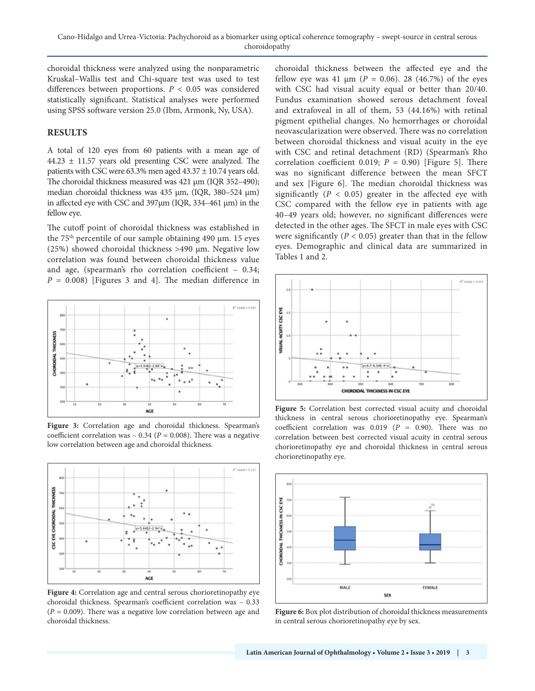choroidal thickness were analyzed using the nonparametric Kruskal–Wallis test and Chi-square test was used to test differences between proportions. *P* < 0.05 was considered statistically significant. Statistical analyses were performed using SPSS software version 25.0 (Ibm, Armonk, Ny, USA).

#### **RESULTS**

A total of 120 eyes from 60 patients with a mean age of  $44.23 \pm 11.57$  years old presenting CSC were analyzed. The patients with CSC were 63.3% men aged 43.37 ± 10.74 years old. The choroidal thickness measured was 421 µm (IQR 352-490); median choroidal thickness was 435 µm, (IQR, 380-524 µm) in affected eye with CSC and 397µm (IQR, 334–461 µm) in the fellow eye.

The cutoff point of choroidal thickness was established in the 75th percentile of our sample obtaining 490 µm. 15 eyes (25%) showed choroidal thickness  $>490 \mu m$ . Negative low correlation was found between choroidal thickness value and age, (spearman's rho correlation coefficient – 0.34;  $P = 0.008$ ) [Figures 3 and 4]. The median difference in



Figure 3: Correlation age and choroidal thickness. Spearman's coefficient correlation was  $-0.34$  ( $P = 0.008$ ). There was a negative low correlation between age and choroidal thickness.



Figure 4: Correlation age and central serous chorioretinopathy eye choroidal thickness. Spearman's coefficient correlation was – 0.33  $(P = 0.009)$ . There was a negative low correlation between age and choroidal thickness.

choroidal thickness between the affected eye and the fellow eye was 41  $\mu$ m (*P* = 0.06). 28 (46.7%) of the eyes with CSC had visual acuity equal or better than 20/40. Fundus examination showed serous detachment foveal and extrafoveal in all of them, 53 (44.16%) with retinal pigment epithelial changes. No hemorrhages or choroidal neovascularization were observed. There was no correlation between choroidal thickness and visual acuity in the eye with CSC and retinal detachment (RD) (Spearman's Rho correlation coefficient 0.019; *P* = 0.90) [Figure 5]. There was no significant difference between the mean SFCT and sex [Figure 6]. The median choroidal thickness was significantly  $(P < 0.05)$  greater in the affected eye with CSC compared with the fellow eye in patients with age 40–49 years old; however, no significant differences were detected in the other ages. The SFCT in male eyes with CSC were significantly  $(P < 0.05)$  greater than that in the fellow eyes. Demographic and clinical data are summarized in Tables 1 and 2.



**Figure 5:** Correlation best corrected visual acuity and choroidal thickness in central serous chorioretinopathy eye. Spearman's coefficient correlation was 0.019 (*P* = 0.90). There was no correlation between best corrected visual acuity in central serous chorioretinopathy eye and choroidal thickness in central serous chorioretinopathy eye.



**Figure 6:** Box plot distribution of choroidal thickness measurements in central serous chorioretinopathy eye by sex.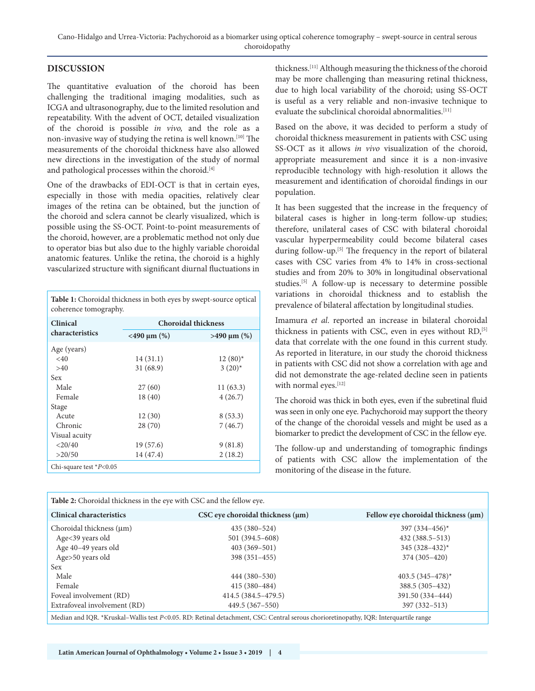#### **DISCUSSION**

The quantitative evaluation of the choroid has been challenging the traditional imaging modalities, such as ICGA and ultrasonography, due to the limited resolution and repeatability. With the advent of OCT, detailed visualization of the choroid is possible *in vivo,* and the role as a non-invasive way of studying the retina is well known.[10] The measurements of the choroidal thickness have also allowed new directions in the investigation of the study of normal and pathological processes within the choroid.<sup>[4]</sup>

One of the drawbacks of EDI-OCT is that in certain eyes, especially in those with media opacities, relatively clear images of the retina can be obtained, but the junction of the choroid and sclera cannot be clearly visualized, which is possible using the SS-OCT. Point-to-point measurements of the choroid, however, are a problematic method not only due to operator bias but also due to the highly variable choroidal anatomic features. Unlike the retina, the choroid is a highly vascularized structure with significant diurnal fluctuations in

**Table 1:** Choroidal thickness in both eyes by swept-source optical coherence tomography.

| Clinical<br>characteristics | <b>Choroidal thickness</b> |                  |
|-----------------------------|----------------------------|------------------|
|                             | $<$ 490 µm $(\%)$          | $>490 \mu m$ (%) |
| Age (years)                 |                            |                  |
| $<$ 40                      | 14(31.1)                   | $12(80)^*$       |
| >40                         | 31(68.9)                   | $3(20)$ *        |
| <b>Sex</b>                  |                            |                  |
| Male                        | 27(60)                     | 11(63.3)         |
| Female                      | 18(40)                     | 4(26.7)          |
| Stage                       |                            |                  |
| Acute                       | 12(30)                     | 8(53.3)          |
| Chronic                     | 28(70)                     | 7(46.7)          |
| Visual acuity               |                            |                  |
| $<$ 20/40                   | 19(57.6)                   | 9(81.8)          |
| >20/50                      | 14 (47.4)                  | 2(18.2)          |
| Chi-square test $P<0.05$    |                            |                  |

thickness.[11] Although measuring the thickness of the choroid may be more challenging than measuring retinal thickness, due to high local variability of the choroid; using SS-OCT is useful as a very reliable and non-invasive technique to evaluate the subclinical choroidal abnormalities.<sup>[11]</sup>

Based on the above, it was decided to perform a study of choroidal thickness measurement in patients with CSC using SS-OCT as it allows *in vivo* visualization of the choroid, appropriate measurement and since it is a non-invasive reproducible technology with high-resolution it allows the measurement and identification of choroidal findings in our population.

It has been suggested that the increase in the frequency of bilateral cases is higher in long-term follow-up studies; therefore, unilateral cases of CSC with bilateral choroidal vascular hyperpermeability could become bilateral cases during follow-up.[5] The frequency in the report of bilateral cases with CSC varies from 4% to 14% in cross-sectional studies and from 20% to 30% in longitudinal observational studies.<sup>[5]</sup> A follow-up is necessary to determine possible variations in choroidal thickness and to establish the prevalence of bilateral affectation by longitudinal studies.

Imamura *et al*. reported an increase in bilateral choroidal thickness in patients with CSC, even in eyes without RD,<sup>[5]</sup> data that correlate with the one found in this current study. As reported in literature, in our study the choroid thickness in patients with CSC did not show a correlation with age and did not demonstrate the age-related decline seen in patients with normal eyes.<sup>[12]</sup>

The choroid was thick in both eyes, even if the subretinal fluid was seen in only one eye. Pachychoroid may support the theory of the change of the choroidal vessels and might be used as a biomarker to predict the development of CSC in the fellow eye.

The follow-up and understanding of tomographic findings of patients with CSC allow the implementation of the monitoring of the disease in the future.

| <b>Table 2:</b> Choroidal thickness in the eye with CSC and the fellow eye. |                                                                                                                                      |                                          |
|-----------------------------------------------------------------------------|--------------------------------------------------------------------------------------------------------------------------------------|------------------------------------------|
| <b>Clinical characteristics</b>                                             | $CSC$ eye choroidal thickness $(\mu m)$                                                                                              | Fellow eye choroidal thickness $(\mu m)$ |
| Choroidal thickness (µm)                                                    | $435(380-524)$                                                                                                                       | 397 $(334 - 456)^*$                      |
| Age<39 years old                                                            | 501 (394.5-608)                                                                                                                      | $432(388.5-513)$                         |
| Age 40-49 years old                                                         | $403(369-501)$                                                                                                                       | $345(328 - 432)^*$                       |
| Age>50 years old                                                            | 398 (351-455)                                                                                                                        | 374 (305-420)                            |
| Sex                                                                         |                                                                                                                                      |                                          |
| Male                                                                        | 444 (380-530)                                                                                                                        | $403.5(345 - 478)^{*}$                   |
| Female                                                                      | $415(380-484)$                                                                                                                       | 388.5 (305-432)                          |
| Foveal involvement (RD)                                                     | $414.5(384.5 - 479.5)$                                                                                                               | 391.50 (334-444)                         |
| Extrafoveal involvement (RD)                                                | 449.5 (367-550)                                                                                                                      | $397(332 - 513)$                         |
|                                                                             | Median and IQR. *Kruskal-Wallis test P<0.05. RD: Retinal detachment, CSC: Central serous chorioretinopathy, IQR: Interquartile range |                                          |